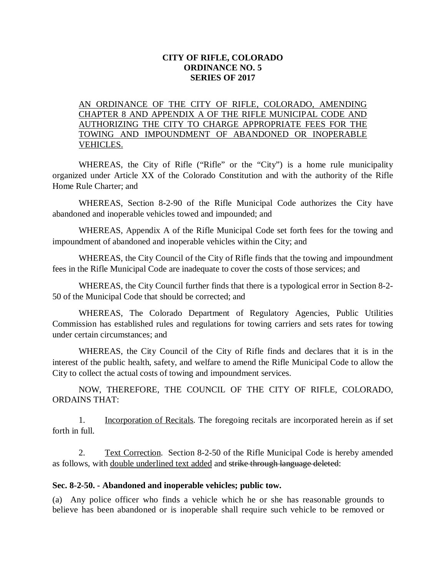### **CITY OF RIFLE, COLORADO ORDINANCE NO. 5 SERIES OF 2017**

## AN ORDINANCE OF THE CITY OF RIFLE, COLORADO, AMENDING CHAPTER 8 AND APPENDIX A OF THE RIFLE MUNICIPAL CODE AND AUTHORIZING THE CITY TO CHARGE APPROPRIATE FEES FOR THE TOWING AND IMPOUNDMENT OF ABANDONED OR INOPERABLE VEHICLES.

WHEREAS, the City of Rifle ("Rifle" or the "City") is a home rule municipality organized under Article XX of the Colorado Constitution and with the authority of the Rifle Home Rule Charter; and

WHEREAS, Section 8-2-90 of the Rifle Municipal Code authorizes the City have abandoned and inoperable vehicles towed and impounded; and

WHEREAS, Appendix A of the Rifle Municipal Code set forth fees for the towing and impoundment of abandoned and inoperable vehicles within the City; and

WHEREAS, the City Council of the City of Rifle finds that the towing and impoundment fees in the Rifle Municipal Code are inadequate to cover the costs of those services; and

WHEREAS, the City Council further finds that there is a typological error in Section 8-2- 50 of the Municipal Code that should be corrected; and

WHEREAS, The Colorado Department of Regulatory Agencies, Public Utilities Commission has established rules and regulations for towing carriers and sets rates for towing under certain circumstances; and

WHEREAS, the City Council of the City of Rifle finds and declares that it is in the interest of the public health, safety, and welfare to amend the Rifle Municipal Code to allow the City to collect the actual costs of towing and impoundment services.

NOW, THEREFORE, THE COUNCIL OF THE CITY OF RIFLE, COLORADO, ORDAINS THAT:

1. Incorporation of Recitals. The foregoing recitals are incorporated herein as if set forth in full.

2. Text Correction. Section 8-2-50 of the Rifle Municipal Code is hereby amended as follows, with double underlined text added and strike through language deleted:

#### **Sec. 8-2-50. - Abandoned and inoperable vehicles; public tow.**

(a) Any police officer who finds a vehicle which he or she has reasonable grounds to believe has been abandoned or is inoperable shall require such vehicle to be removed or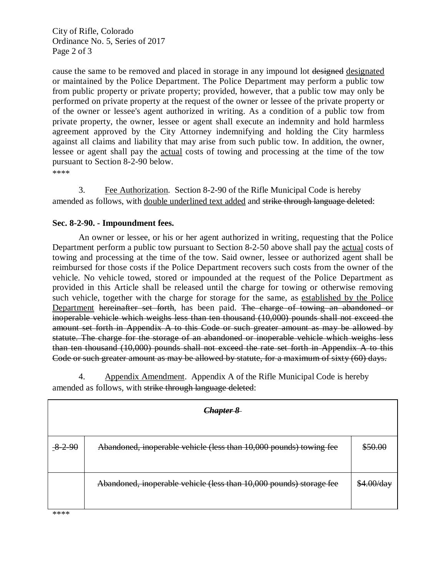City of Rifle, Colorado Ordinance No. 5, Series of 2017 Page 2 of 3

cause the same to be removed and placed in storage in any impound lot designed designated or maintained by the Police Department. The Police Department may perform a public tow from public property or private property; provided, however, that a public tow may only be performed on private property at the request of the owner or lessee of the private property or of the owner or lessee's agent authorized in writing. As a condition of a public tow from private property, the owner, lessee or agent shall execute an indemnity and hold harmless agreement approved by the City Attorney indemnifying and holding the City harmless against all claims and liability that may arise from such public tow. In addition, the owner, lessee or agent shall pay the actual costs of towing and processing at the time of the tow pursuant to Section 8-2-90 below.

\*\*\*\*

3. Fee Authorization. Section 8-2-90 of the Rifle Municipal Code is hereby amended as follows, with double underlined text added and strike through language deleted:

#### **Sec. 8-2-90. - Impoundment fees.**

An owner or lessee, or his or her agent authorized in writing, requesting that the Police Department perform a public tow pursuant to Section 8-2-50 above shall pay the actual costs of towing and processing at the time of the tow. Said owner, lessee or authorized agent shall be reimbursed for those costs if the Police Department recovers such costs from the owner of the vehicle. No vehicle towed, stored or impounded at the request of the Police Department as provided in this Article shall be released until the charge for towing or otherwise removing such vehicle, together with the charge for storage for the same, as established by the Police Department hereinafter set forth, has been paid. The charge of towing an abandoned or inoperable vehicle which weighs less than ten thousand (10,000) pounds shall not exceed the amount set forth in Appendix A to this Code or such greater amount as may be allowed by statute. The charge for the storage of an abandoned or inoperable vehicle which weighs less than ten thousand (10,000) pounds shall not exceed the rate set forth in Appendix A to this Code or such greater amount as may be allowed by statute, for a maximum of sixty (60) days.

4. Appendix Amendment. Appendix A of the Rifle Municipal Code is hereby amended as follows, with strike through language deleted:

| <del>Chapter 8</del> |                                                                     |                       |
|----------------------|---------------------------------------------------------------------|-----------------------|
|                      |                                                                     |                       |
| $8 - 2 - 90$         | Abandoned, inoperable vehicle (less than 10,000 pounds) towing fee  | \$50.00               |
|                      |                                                                     |                       |
|                      | Abandoned, inoperable vehicle (less than 10,000 pounds) storage fee | <del>\$4.00/day</del> |
|                      |                                                                     |                       |